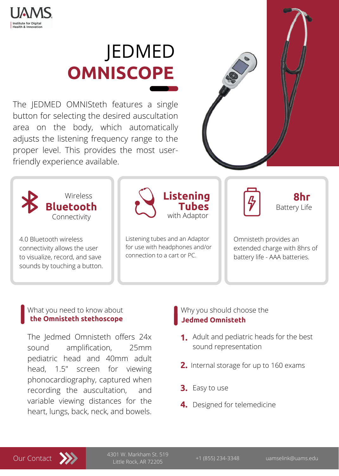

**Institute for Digital Health & Innovation** 

The JEDMED OMNISteth features a single button for selecting the desired auscultation area on the body, which automatically adjusts the listening frequency range to the proper level. This provides the most user-



# friendly experience available.

# JEDMED **OMNISCOPE**



4.0 Bluetooth wireless connectivity allows the user to visualize, record, and save sounds by touching a button.

Listening tubes and an Adaptor for use with headphones and/or connection to a cart or PC.

Omnisteth provides an extended charge with 8hrs of battery life - AAA batteries.

**Listening**

with Adaptor

**8hr**

Battery Life

## What you need to know about **the Omnisteth stethoscope**

# Why you should choose the **Jedmed Omnisteth**



+1 (855) 234-3348 uamselink@uams.edu 4301 W. Markham St. 519 Little Rock, AR 72205

- Adult and pediatric heads for the best  **1.** sound representation
- **2.** Internal storage for up to 160 exams
- **3.** Easy to use
- **4.** Designed for telemedicine

The Jedmed Omnisteth offers 24x sound amplification, 25mm pediatric head and 40mm adult head, 1.5" screen for viewing phonocardiography, captured when recording the auscultation, and variable viewing distances for the heart, lungs, back, neck, and bowels.

**Tubes**